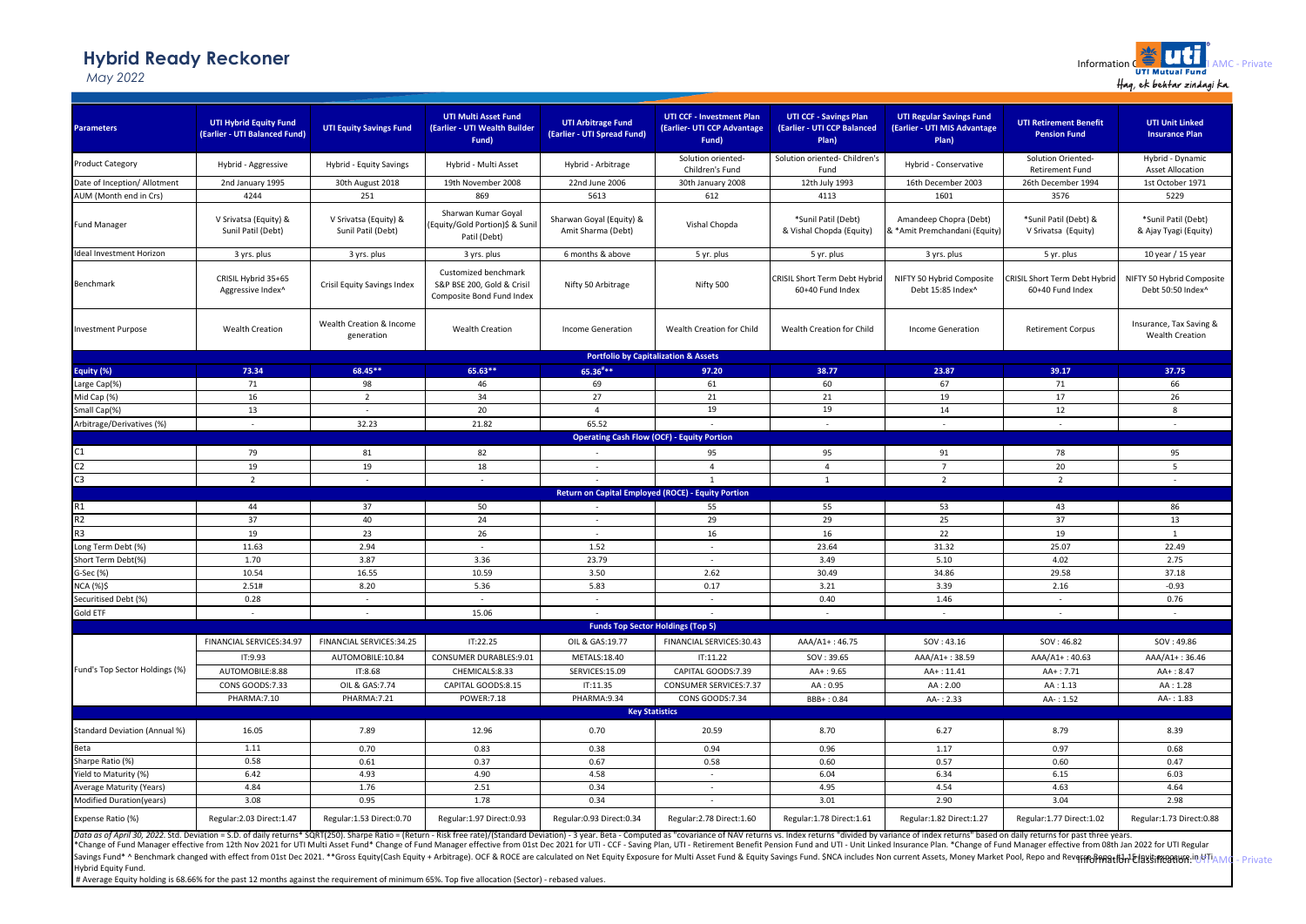## **Hybrid Ready Reckoner**

*May 2022*

| <b>Parameters</b>                                                                                                                                                                                                                                   | <b>UTI Hybrid Equity Fund</b><br>(Earlier - UTI Balanced Fund) | <b>UTI Equity Savings Fund</b>              | <b>UTI Multi Asset Fund</b><br>(Earlier - UTI Wealth Builder<br>Fund)           | <b>UTI Arbitrage Fund</b><br>(Earlier - UTI Spread Fund)  | <b>UTI CCF - Investment Plan</b><br>(Earlier- UTI CCP Advantage<br>Fund) | <b>UTI CCF - Savings Plan</b><br>(Earlier - UTI CCP Balanced<br>Plan) | <b>UTI Regular Savings Fund</b><br>(Earlier - UTI MIS Advantage<br>Plan) | <b>UTI Retirement Benefit</b><br><b>Pension Fund</b> | <b>UTI Unit Linked</b><br><b>Insurance Plan</b>   |
|-----------------------------------------------------------------------------------------------------------------------------------------------------------------------------------------------------------------------------------------------------|----------------------------------------------------------------|---------------------------------------------|---------------------------------------------------------------------------------|-----------------------------------------------------------|--------------------------------------------------------------------------|-----------------------------------------------------------------------|--------------------------------------------------------------------------|------------------------------------------------------|---------------------------------------------------|
| <b>Product Category</b>                                                                                                                                                                                                                             | Hybrid - Aggressive                                            | Hybrid - Equity Savings                     | Hybrid - Multi Asset                                                            | Hybrid - Arbitrage                                        | Solution oriented-                                                       | Solution oriented- Children's                                         | Hybrid - Conservative                                                    | Solution Oriented-                                   | Hybrid - Dynamic                                  |
|                                                                                                                                                                                                                                                     |                                                                |                                             |                                                                                 |                                                           | Children's Fund                                                          | Fund                                                                  |                                                                          | <b>Retirement Fund</b>                               | <b>Asset Allocation</b>                           |
| Date of Inception/ Allotment                                                                                                                                                                                                                        | 2nd January 1995                                               | 30th August 2018                            | 19th November 2008                                                              | 22nd June 2006                                            | 30th January 2008                                                        | 12th July 1993                                                        | 16th December 2003                                                       | 26th December 1994                                   | 1st October 1971                                  |
| AUM (Month end in Crs)                                                                                                                                                                                                                              | 4244                                                           | 251                                         | 869                                                                             | 5613                                                      | 612                                                                      | 4113                                                                  | 1601                                                                     | 3576                                                 | 5229                                              |
| <b>Fund Manager</b>                                                                                                                                                                                                                                 | V Srivatsa (Equity) &<br>Sunil Patil (Debt)                    | V Srivatsa (Equity) &<br>Sunil Patil (Debt) | Sharwan Kumar Goyal<br>Equity/Gold Portion)\$ & Suni<br>Patil (Debt)            | Sharwan Goyal (Equity) &<br>Amit Sharma (Debt)            | Vishal Chopda                                                            | *Sunil Patil (Debt)<br>& Vishal Chopda (Equity)                       | Amandeep Chopra (Debt)<br>& *Amit Premchandani (Equity)                  | *Sunil Patil (Debt) &<br>V Srivatsa (Equity)         | *Sunil Patil (Debt)<br>& Ajay Tyagi (Equity)      |
| Ideal Investment Horizon                                                                                                                                                                                                                            | 3 yrs. plus                                                    | 3 yrs. plus                                 | 3 yrs. plus                                                                     | 6 months & above                                          | 5 yr. plus                                                               | 5 yr. plus                                                            | 3 yrs. plus                                                              | 5 yr. plus                                           | 10 year / 15 year                                 |
| Benchmark                                                                                                                                                                                                                                           | CRISIL Hybrid 35+65<br>Aggressive Index^                       | <b>Crisil Equity Savings Index</b>          | Customized benchmark<br>S&P BSE 200, Gold & Crisil<br>Composite Bond Fund Index | Nifty 50 Arbitrage                                        | Nifty 500                                                                | CRISIL Short Term Debt Hybrid<br>60+40 Fund Index                     | NIFTY 50 Hybrid Composite<br>Debt 15:85 Index^                           | CRISIL Short Term Debt Hybrid<br>60+40 Fund Index    | NIFTY 50 Hybrid Composite<br>Debt 50:50 Index^    |
| <b>Investment Purpose</b>                                                                                                                                                                                                                           | <b>Wealth Creation</b>                                         | Wealth Creation & Income<br>generation      | <b>Wealth Creation</b>                                                          | <b>Income Generation</b>                                  | Wealth Creation for Child                                                | Wealth Creation for Child                                             | <b>Income Generation</b>                                                 | <b>Retirement Corpus</b>                             | Insurance, Tax Saving &<br><b>Wealth Creation</b> |
|                                                                                                                                                                                                                                                     |                                                                |                                             |                                                                                 | <b>Portfolio by Capitalization &amp; Assets</b>           |                                                                          |                                                                       |                                                                          |                                                      |                                                   |
| Equity (%)                                                                                                                                                                                                                                          | 73.34                                                          | 68.45**                                     | 65.63**                                                                         | $65.36***$                                                | 97.20                                                                    | 38.77                                                                 | 23.87                                                                    | 39.17                                                | 37.75                                             |
| arge Cap(%)                                                                                                                                                                                                                                         | 71                                                             | 98                                          | 46                                                                              | 69                                                        | 61                                                                       | 60                                                                    | 67                                                                       | 71                                                   | 66                                                |
| Mid Cap (%)                                                                                                                                                                                                                                         | 16                                                             | $\overline{2}$                              | 34                                                                              | 27                                                        | 21                                                                       | 21                                                                    | 19                                                                       | 17                                                   | 26                                                |
| Small Cap(%)                                                                                                                                                                                                                                        | 13                                                             | $\sim$                                      | 20                                                                              | $\overline{4}$                                            | 19                                                                       | 19                                                                    | 14                                                                       | 12                                                   | 8                                                 |
| Arbitrage/Derivatives (%)                                                                                                                                                                                                                           | $\sim$                                                         | 32.23                                       | 21.82                                                                           | 65.52                                                     |                                                                          | $\sim$                                                                | $\sim$                                                                   | <b>.</b>                                             |                                                   |
|                                                                                                                                                                                                                                                     |                                                                |                                             |                                                                                 | <b>Operating Cash Flow (OCF) - Equity Portion</b>         |                                                                          |                                                                       |                                                                          |                                                      |                                                   |
| C1                                                                                                                                                                                                                                                  | 79                                                             | 81                                          | 82                                                                              | $\sim$                                                    | 95                                                                       | 95                                                                    | 91                                                                       | 78                                                   | 95                                                |
| C <sub>2</sub>                                                                                                                                                                                                                                      | 19                                                             | 19                                          | 18                                                                              | $\sim$                                                    | $\overline{4}$                                                           | $\overline{4}$                                                        | $\overline{7}$                                                           | 20                                                   | 5                                                 |
| C <sub>3</sub>                                                                                                                                                                                                                                      | $\overline{2}$                                                 | $\sim$                                      | $\sim$                                                                          |                                                           | $\mathbf{1}$                                                             | $\mathbf 1$                                                           | $\overline{2}$                                                           | $\overline{2}$                                       | $\sim$                                            |
|                                                                                                                                                                                                                                                     |                                                                |                                             |                                                                                 | <b>Return on Capital Employed (ROCE) - Equity Portion</b> |                                                                          |                                                                       |                                                                          |                                                      |                                                   |
| R1                                                                                                                                                                                                                                                  | 44                                                             | 37                                          | 50                                                                              |                                                           | 55                                                                       | 55                                                                    | 53                                                                       | 43                                                   | 86                                                |
| R <sub>2</sub>                                                                                                                                                                                                                                      | 37                                                             | 40                                          | 24                                                                              | $\sim$                                                    | 29                                                                       | 29                                                                    | 25                                                                       | 37                                                   | 13                                                |
|                                                                                                                                                                                                                                                     | 19                                                             | 23                                          | 26                                                                              | $\sim$                                                    | 16                                                                       | 16                                                                    | 22                                                                       | 19                                                   | $\mathbf{1}$                                      |
| Long Term Debt (%)                                                                                                                                                                                                                                  | 11.63                                                          | 2.94                                        | ÷.                                                                              | 1.52                                                      | ä,                                                                       | 23.64                                                                 | 31.32                                                                    | 25.07                                                | 22.49                                             |
| Short Term Debt(%)                                                                                                                                                                                                                                  | 1.70                                                           | 3.87                                        | 3.36                                                                            | 23.79                                                     | $\sim$                                                                   | 3.49                                                                  | 5.10                                                                     | 4.02                                                 | 2.75                                              |
| G-Sec (%)                                                                                                                                                                                                                                           | 10.54                                                          | 16.55                                       | 10.59                                                                           | 3.50                                                      | 2.62                                                                     | 30.49                                                                 | 34.86                                                                    | 29.58                                                | 37.18                                             |
| <b>NCA (%)\$</b>                                                                                                                                                                                                                                    | 2.51#                                                          | 8.20                                        | 5.36                                                                            | 5.83                                                      | 0.17                                                                     | 3.21                                                                  | 3.39                                                                     | 2.16                                                 | $-0.93$                                           |
| Securitised Debt (%)                                                                                                                                                                                                                                | 0.28                                                           | $\sim$                                      | $\sim$                                                                          | $\sim$                                                    | $\sim$                                                                   | 0.40                                                                  | 1.46                                                                     | $\sim$                                               | 0.76                                              |
| Gold ETF                                                                                                                                                                                                                                            | $\sim$                                                         | $\sim$                                      | 15.06                                                                           |                                                           |                                                                          | $\sim$                                                                | $\sim$                                                                   | $\sim$                                               | $\sim$                                            |
|                                                                                                                                                                                                                                                     |                                                                |                                             |                                                                                 | <b>Funds Top Sector Holdings (Top 5)</b>                  |                                                                          |                                                                       |                                                                          |                                                      |                                                   |
|                                                                                                                                                                                                                                                     | FINANCIAL SERVICES:34.97                                       | FINANCIAL SERVICES:34.25                    | IT:22.25                                                                        | OIL & GAS:19.77                                           | FINANCIAL SERVICES:30.43                                                 | AAA/A1+: 46.75                                                        | SOV: 43.16                                                               | SOV: 46.82                                           | SOV: 49.86                                        |
|                                                                                                                                                                                                                                                     | IT:9.93                                                        | AUTOMOBILE:10.84                            | CONSUMER DURABLES:9.01                                                          | METALS:18.40                                              | IT:11.22                                                                 | SOV: 39.65                                                            | AAA/A1+: 38.59                                                           | AAA/A1+: 40.63                                       | AAA/A1+: 36.46                                    |
| Fund's Top Sector Holdings (%)                                                                                                                                                                                                                      | AUTOMOBILE:8.88                                                | IT:8.68                                     | CHEMICALS:8.33                                                                  | SERVICES:15.09                                            | CAPITAL GOODS:7.39                                                       | $AA + : 9.65$                                                         | AA+: 11.41                                                               | AA+: 7.71                                            | $AA + : 8.47$                                     |
|                                                                                                                                                                                                                                                     | CONS GOODS:7.33                                                | OIL & GAS: 7.74                             | CAPITAL GOODS:8.15                                                              | IT:11.35                                                  | CONSUMER SERVICES: 7.37                                                  | AA: 0.95                                                              | AA: 2.00                                                                 | AA: 1.13                                             | AA: 1.28                                          |
|                                                                                                                                                                                                                                                     | PHARMA:7.10                                                    | PHARMA: 7.21                                | <b>POWER:7.18</b>                                                               | PHARMA:9.34                                               | CONS GOODS:7.34                                                          | BBB+: 0.84                                                            | AA-: 2.33                                                                | AA-: 1.52                                            | AA-: 1.83                                         |
| <b>Key Statistics</b>                                                                                                                                                                                                                               |                                                                |                                             |                                                                                 |                                                           |                                                                          |                                                                       |                                                                          |                                                      |                                                   |
| <b>Standard Deviation (Annual %)</b>                                                                                                                                                                                                                | 16.05                                                          | 7.89                                        | 12.96                                                                           | 0.70                                                      | 20.59                                                                    | 8.70                                                                  | 6.27                                                                     | 8.79                                                 | 8.39                                              |
| Beta                                                                                                                                                                                                                                                | 1.11                                                           | 0.70                                        | 0.83                                                                            | 0.38                                                      | 0.94                                                                     | 0.96                                                                  | 1.17                                                                     | 0.97                                                 | 0.68                                              |
| Sharpe Ratio (%)                                                                                                                                                                                                                                    | 0.58                                                           | 0.61                                        | 0.37                                                                            | 0.67                                                      | 0.58                                                                     | 0.60                                                                  | 0.57                                                                     | 0.60                                                 | 0.47                                              |
| Yield to Maturity (%)                                                                                                                                                                                                                               | 6.42                                                           | 4.93                                        | 4.90                                                                            | 4.58                                                      | $\sim$                                                                   | 6.04                                                                  | 6.34                                                                     | 6.15                                                 | 6.03                                              |
| <b>Average Maturity (Years)</b>                                                                                                                                                                                                                     | 4.84                                                           | 1.76                                        | 2.51                                                                            | 0.34                                                      | $\sim$                                                                   | 4.95                                                                  | 4.54                                                                     | 4.63                                                 | 4.64                                              |
| Modified Duration(years)                                                                                                                                                                                                                            | 3.08                                                           | 0.95                                        | 1.78                                                                            | 0.34                                                      |                                                                          | 3.01                                                                  | 2.90                                                                     | 3.04                                                 | 2.98                                              |
| Expense Ratio (%)<br>Data as of April 30, 2022. Std. Deviation = S.D. of daily returns* SQRT(250). Sharpe Ratio = (Return - Risk free rate)/(Standard Deviation) - 3 year. Beta - Computed as "covariance of NAV returns "s. Index returns" divided | Regular:2.03 Direct:1.47                                       | Regular:1.53 Direct:0.70                    | Regular:1.97 Direct:0.93                                                        | Regular: 0.93 Direct: 0.34                                | Regular: 2.78 Direct: 1.60                                               | Regular:1.78 Direct:1.61                                              | Regular:1.82 Direct:1.27                                                 | Regular:1.77 Direct:1.02                             | Regular:1.73 Direct:0.88                          |
|                                                                                                                                                                                                                                                     |                                                                |                                             |                                                                                 |                                                           |                                                                          |                                                                       |                                                                          |                                                      |                                                   |

Data as of April 30, 2022. Std. Deviation = S.D. of daily returns\* SQRT(250). Sharpe Ratio = (Return - Risk free rate)/(Standard Deviation) - 3 year. Beta - Computed as "covariance of NAV returnss. Index returns divided by Savings Fund\* ^ Benchmark changed with effect from 01st Dec 2021. \*\*Gross Equity(Cash Equity + Arbitrage). OCF & ROCE are calculated on Net Equity Exposure for Multi Asset Fund & Equity Savings Fund. \$NCA includes Non cur Hybrid Equity Fund.

# Average Equity holding is 68.66% for the past 12 months against the requirement of minimum 65%. Top five allocation (Sector) - rebased values.